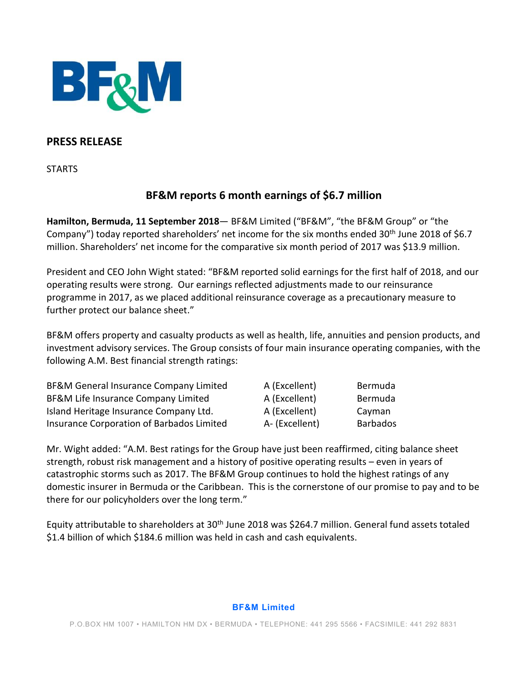

## **PRESS RELEASE**

**STARTS** 

# **BF&M reports 6 month earnings of \$6.7 million**

**Hamilton, Bermuda, 11 September 2018**— BF&M Limited ("BF&M", "the BF&M Group" or "the Company") today reported shareholders' net income for the six months ended 30<sup>th</sup> June 2018 of \$6.7 million. Shareholders' net income for the comparative six month period of 2017 was \$13.9 million.

President and CEO John Wight stated: "BF&M reported solid earnings for the first half of 2018, and our operating results were strong. Our earnings reflected adjustments made to our reinsurance programme in 2017, as we placed additional reinsurance coverage as a precautionary measure to further protect our balance sheet."

BF&M offers property and casualty products as well as health, life, annuities and pension products, and investment advisory services. The Group consists of four main insurance operating companies, with the following A.M. Best financial strength ratings:

| BF&M General Insurance Company Limited<br>BF&M Life Insurance Company Limited<br>Island Heritage Insurance Company Ltd.<br>Insurance Corporation of Barbados Limited | A (Excellent)                                    | Bermuda                              |
|----------------------------------------------------------------------------------------------------------------------------------------------------------------------|--------------------------------------------------|--------------------------------------|
|                                                                                                                                                                      | A (Excellent)<br>A (Excellent)<br>A- (Excellent) | Bermuda<br>Cayman<br><b>Barbados</b> |

Mr. Wight added: "A.M. Best ratings for the Group have just been reaffirmed, citing balance sheet strength, robust risk management and a history of positive operating results – even in years of catastrophic storms such as 2017. The BF&M Group continues to hold the highest ratings of any domestic insurer in Bermuda or the Caribbean. This is the cornerstone of our promise to pay and to be there for our policyholders over the long term."

Equity attributable to shareholders at 30<sup>th</sup> June 2018 was \$264.7 million. General fund assets totaled \$1.4 billion of which \$184.6 million was held in cash and cash equivalents.

#### **BF&M Limited**